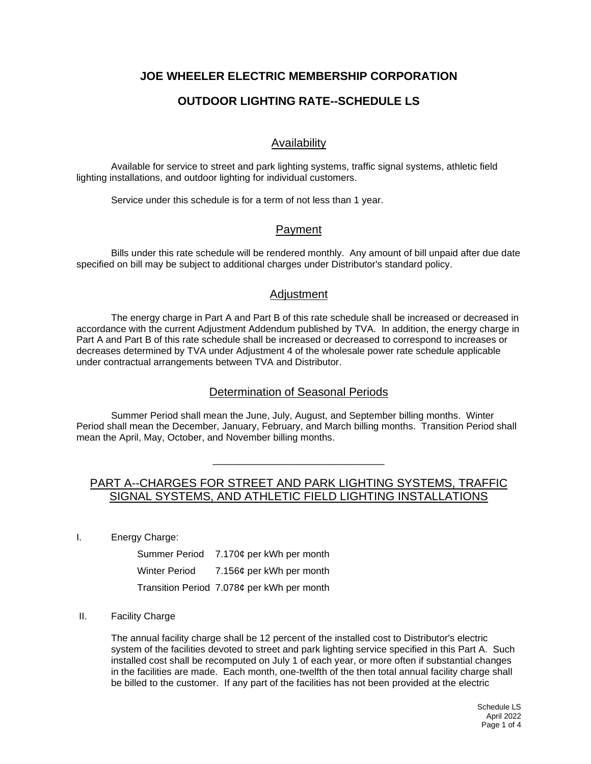# **JOE WHEELER ELECTRIC MEMBERSHIP CORPORATION**

# **OUTDOOR LIGHTING RATE--SCHEDULE LS**

## Availability

Available for service to street and park lighting systems, traffic signal systems, athletic field lighting installations, and outdoor lighting for individual customers.

Service under this schedule is for a term of not less than 1 year.

#### Payment

Bills under this rate schedule will be rendered monthly. Any amount of bill unpaid after due date specified on bill may be subject to additional charges under Distributor's standard policy.

#### **Adjustment**

The energy charge in Part A and Part B of this rate schedule shall be increased or decreased in accordance with the current Adjustment Addendum published by TVA. In addition, the energy charge in Part A and Part B of this rate schedule shall be increased or decreased to correspond to increases or decreases determined by TVA under Adjustment 4 of the wholesale power rate schedule applicable under contractual arrangements between TVA and Distributor.

## Determination of Seasonal Periods

Summer Period shall mean the June, July, August, and September billing months. Winter Period shall mean the December, January, February, and March billing months. Transition Period shall mean the April, May, October, and November billing months.

# PART A--CHARGES FOR STREET AND PARK LIGHTING SYSTEMS, TRAFFIC SIGNAL SYSTEMS, AND ATHLETIC FIELD LIGHTING INSTALLATIONS

\_\_\_\_\_\_\_\_\_\_\_\_\_\_\_\_\_\_\_\_\_\_\_\_\_\_\_\_\_\_\_\_

I. Energy Charge:

|               | Summer Period 7.170¢ per kWh per month     |
|---------------|--------------------------------------------|
| Winter Period | 7.156¢ per kWh per month                   |
|               | Transition Period 7.078¢ per kWh per month |

#### II. Facility Charge

The annual facility charge shall be 12 percent of the installed cost to Distributor's electric system of the facilities devoted to street and park lighting service specified in this Part A. Such installed cost shall be recomputed on July 1 of each year, or more often if substantial changes in the facilities are made. Each month, one-twelfth of the then total annual facility charge shall be billed to the customer. If any part of the facilities has not been provided at the electric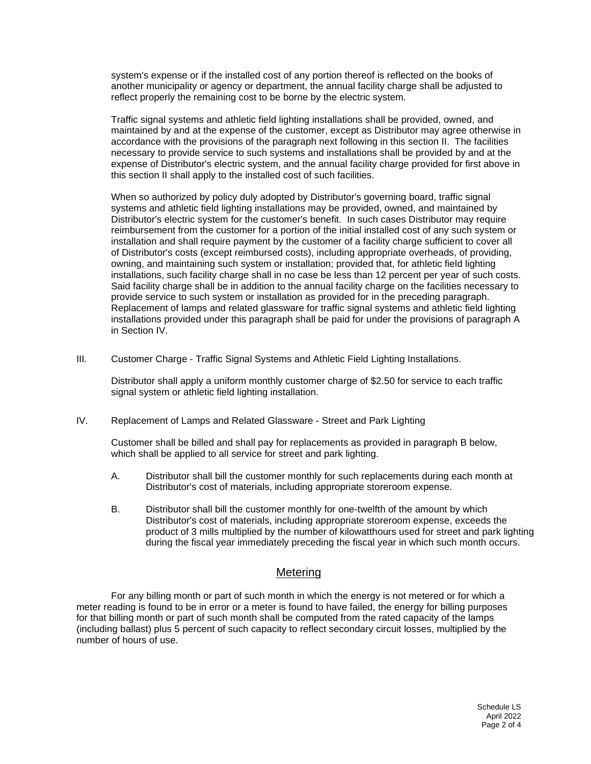system's expense or if the installed cost of any portion thereof is reflected on the books of another municipality or agency or department, the annual facility charge shall be adjusted to reflect properly the remaining cost to be borne by the electric system.

Traffic signal systems and athletic field lighting installations shall be provided, owned, and maintained by and at the expense of the customer, except as Distributor may agree otherwise in accordance with the provisions of the paragraph next following in this section II. The facilities necessary to provide service to such systems and installations shall be provided by and at the expense of Distributor's electric system, and the annual facility charge provided for first above in this section II shall apply to the installed cost of such facilities.

When so authorized by policy duly adopted by Distributor's governing board, traffic signal systems and athletic field lighting installations may be provided, owned, and maintained by Distributor's electric system for the customer's benefit. In such cases Distributor may require reimbursement from the customer for a portion of the initial installed cost of any such system or installation and shall require payment by the customer of a facility charge sufficient to cover all of Distributor's costs (except reimbursed costs), including appropriate overheads, of providing, owning, and maintaining such system or installation; provided that, for athletic field lighting installations, such facility charge shall in no case be less than 12 percent per year of such costs. Said facility charge shall be in addition to the annual facility charge on the facilities necessary to provide service to such system or installation as provided for in the preceding paragraph. Replacement of lamps and related glassware for traffic signal systems and athletic field lighting installations provided under this paragraph shall be paid for under the provisions of paragraph A in Section IV.

III. Customer Charge - Traffic Signal Systems and Athletic Field Lighting Installations.

Distributor shall apply a uniform monthly customer charge of \$2.50 for service to each traffic signal system or athletic field lighting installation.

IV. Replacement of Lamps and Related Glassware - Street and Park Lighting

Customer shall be billed and shall pay for replacements as provided in paragraph B below, which shall be applied to all service for street and park lighting.

- A. Distributor shall bill the customer monthly for such replacements during each month at Distributor's cost of materials, including appropriate storeroom expense.
- B. Distributor shall bill the customer monthly for one-twelfth of the amount by which Distributor's cost of materials, including appropriate storeroom expense, exceeds the product of 3 mills multiplied by the number of kilowatthours used for street and park lighting during the fiscal year immediately preceding the fiscal year in which such month occurs.

## **Metering**

For any billing month or part of such month in which the energy is not metered or for which a meter reading is found to be in error or a meter is found to have failed, the energy for billing purposes for that billing month or part of such month shall be computed from the rated capacity of the lamps (including ballast) plus 5 percent of such capacity to reflect secondary circuit losses, multiplied by the number of hours of use.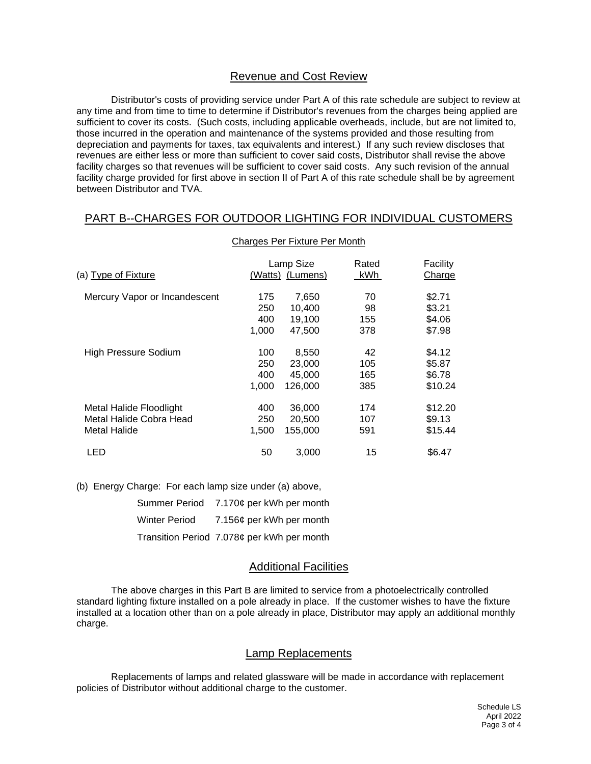#### Revenue and Cost Review

Distributor's costs of providing service under Part A of this rate schedule are subject to review at any time and from time to time to determine if Distributor's revenues from the charges being applied are sufficient to cover its costs. (Such costs, including applicable overheads, include, but are not limited to, those incurred in the operation and maintenance of the systems provided and those resulting from depreciation and payments for taxes, tax equivalents and interest.) If any such review discloses that revenues are either less or more than sufficient to cover said costs, Distributor shall revise the above facility charges so that revenues will be sufficient to cover said costs. Any such revision of the annual facility charge provided for first above in section II of Part A of this rate schedule shall be by agreement between Distributor and TVA.

# PART B--CHARGES FOR OUTDOOR LIGHTING FOR INDIVIDUAL CUSTOMERS

| (a) Type of Fixture           |       | Lamp Size<br>(Watts) (Lumens) | Rated<br>kWh | Facility<br>Charge |
|-------------------------------|-------|-------------------------------|--------------|--------------------|
| Mercury Vapor or Incandescent | 175   | 7,650                         | 70           | \$2.71             |
|                               | 250   | 10,400                        | 98           | \$3.21             |
|                               | 400   | 19,100                        | 155          | \$4.06             |
|                               | 1,000 | 47.500                        | 378          | \$7.98             |
| High Pressure Sodium          | 100   | 8,550                         | 42           | \$4.12             |
|                               | 250   | 23,000                        | 105          | \$5.87             |
|                               | 400   | 45,000                        | 165          | \$6.78             |
|                               | 1,000 | 126,000                       | 385          | \$10.24            |
| Metal Halide Floodlight       | 400   | 36,000                        | 174          | \$12.20            |
| Metal Halide Cobra Head       | 250   | 20,500                        | 107          | \$9.13             |
| Metal Halide                  | 1,500 | 155.000                       | 591          | \$15.44            |
| LED                           | 50    | 3,000                         | 15           | \$6.47             |

#### Charges Per Fixture Per Month

(b) Energy Charge: For each lamp size under (a) above,

|                      | Summer Period 7.170¢ per kWh per month     |
|----------------------|--------------------------------------------|
| <b>Winter Period</b> | 7.156¢ per kWh per month                   |
|                      | Transition Period 7.078¢ per kWh per month |

#### Additional Facilities

The above charges in this Part B are limited to service from a photoelectrically controlled standard lighting fixture installed on a pole already in place. If the customer wishes to have the fixture installed at a location other than on a pole already in place, Distributor may apply an additional monthly charge.

#### Lamp Replacements

Replacements of lamps and related glassware will be made in accordance with replacement policies of Distributor without additional charge to the customer.